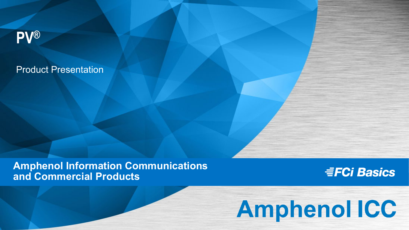# **PV®**

## Product Presentation

## **Amphenol Information Communications**<br>and Commercial Products **and Commercial Products**

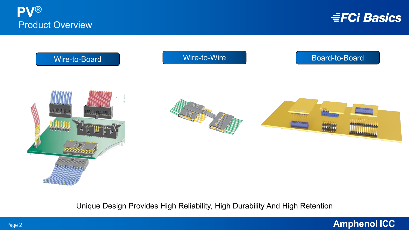



Unique Design Provides High Reliability, High Durability And High Retention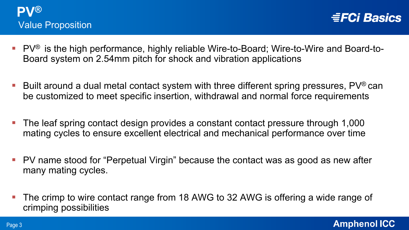

- PV $^{\circ}$  is the high performance, highly reliable Wire-to-Board; Wire-to-Wire and Board-to-Board system on 2.54mm pitch for shock and vibration applications
- Built around a dual metal contact system with three different spring pressures,  $PV^{\circledast}$  can be customized to meet specific insertion, withdrawal and normal force requirements
- The leaf spring contact design provides a constant contact pressure through 1,000 mating cycles to ensure excellent electrical and mechanical performance over time
- **PV** name stood for "Perpetual Virgin" because the contact was as good as new after many mating cycles.
- **The crimp to wire contact range from 18 AWG to 32 AWG is offering a wide range of** crimping possibilities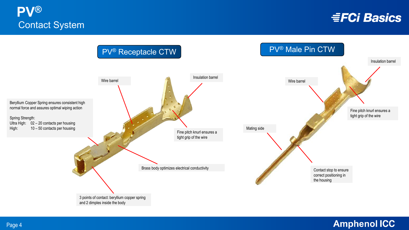

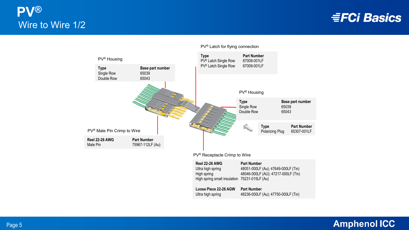



#### PV® Latch for flying connection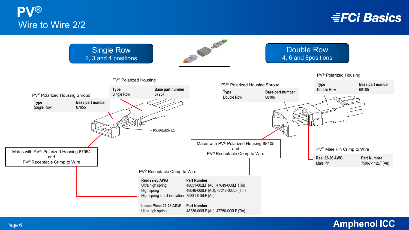**PV®** Wire to Wire 2/2

**EFCI Basics** 



#### **Amphenol ICC**

Page 6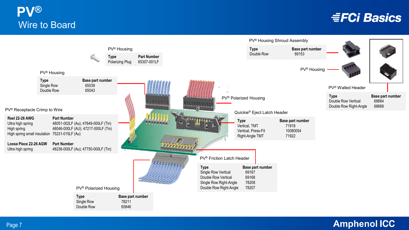## **PV®** Wire to Board

## **EFCI Basics**

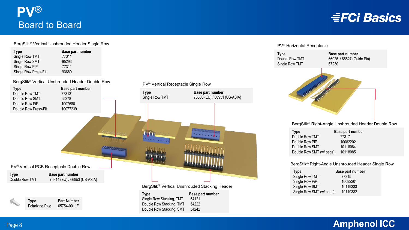

#### BergStik® Vertical Unshrouded Header Single Row

| <b>Type</b>          | Base part number |
|----------------------|------------------|
| Single Row TMT       | 77311            |
| Single Row SMT       | 95293            |
| Single Row PiP       | 77311            |
| Single Row Press-Fit | 93689            |

BergStik® Vertical Unshrouded Header Double Row



**Type Part Number** Polarizing Plug 65754-001LF

**Type Base part number** Single Row Stacking, TMT 54121 Double Row Stacking, TMT 54222 Double Row Stacking, SMT 54242

#### PV® Horizontal Receptacle



BergStik® Right-Angle Unshrouded Header Double Row

| <b>Type</b>              | Base part number |
|--------------------------|------------------|
| Double Row TMT           | 77317            |
| Double Row PiP           | 10082202         |
| Double Row SMT           | 10118084         |
| Double Row SMT (w/ pegs) | 10118085         |

BergStik® Right-Angle Unshrouded Header Single Row

| Base part number                     |
|--------------------------------------|
| 77315                                |
| 10082201                             |
| 10119333                             |
| 10119332<br>Single Row SMT (w/ pegs) |
|                                      |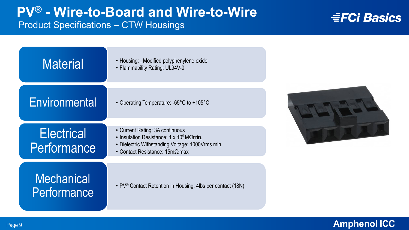## **PV® - Wire-to-Board and Wire-to-Wire** Product Specifications – CTW Housings

## **EFCI Basics**

| <b>Material</b>                  | • Housing: : Modified polyphenylene oxide<br>• Flammability Rating: UL94V-0                                                                                                                  |  |
|----------------------------------|----------------------------------------------------------------------------------------------------------------------------------------------------------------------------------------------|--|
| Environmental                    | • Operating Temperature: -65°C to +105°C                                                                                                                                                     |  |
| <b>Electrical</b><br>Performance | • Current Rating: 3A continuous<br>• Insulation Resistance: 1 x $10^5$ M $\Omega$ min.<br>• Dielectric Withstanding Voltage: 1000 Vrms min.<br>• Contact Resistance: $15 \text{m}\Omega$ max |  |
| Mechanical<br>Performance        | • PV <sup>®</sup> Contact Retention in Housing: 4lbs per contact (18N)                                                                                                                       |  |

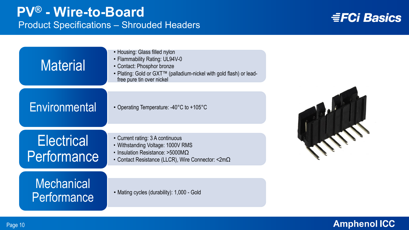| <b>Material</b>                  | • Housing: Glass filled nylon<br>• Flammability Rating: UL94V-0<br>• Contact: Phosphor bronze<br>• Plating: Gold or GXT™ (palladium-nickel with gold flash) or lead-<br>free pure tin over nickel |  |
|----------------------------------|---------------------------------------------------------------------------------------------------------------------------------------------------------------------------------------------------|--|
| Environmental                    | • Operating Temperature: -40°C to +105°C                                                                                                                                                          |  |
| <b>Electrical</b><br>Performance | • Current rating: 3 A continuous<br>• Withstanding Voltage: 1000V RMS<br>• Insulation Resistance: >5000M $\Omega$<br>• Contact Resistance (LLCR), Wire Connector: $\langle 2m\Omega \rangle$      |  |
| <b>Mechanical</b><br>Performance | • Mating cycles (durability): 1,000 - Gold                                                                                                                                                        |  |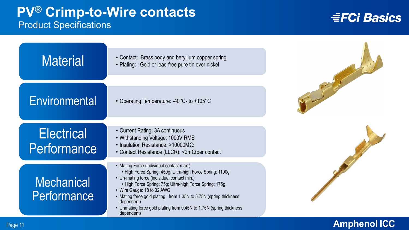## **PV® Crimp-to-Wire contacts** Product Specifications

## **EFCI Basics**

| <b>Material</b>                  | • Contact: Brass body and beryllium copper spring<br>• Plating: : Gold or lead-free pure tin over nickel                                                                                                                                                                                                                                                                                                                |  |
|----------------------------------|-------------------------------------------------------------------------------------------------------------------------------------------------------------------------------------------------------------------------------------------------------------------------------------------------------------------------------------------------------------------------------------------------------------------------|--|
| Environmental                    | • Operating Temperature: -40°C- to +105°C                                                                                                                                                                                                                                                                                                                                                                               |  |
| <b>Electrical</b><br>Performance | • Current Rating: 3A continuous<br>• Withstanding Voltage: 1000V RMS<br>• Insulation Resistance: >10000M $\Omega$<br>• Contact Resistance (LLCR): $\leq 2m\Omega$ per contact                                                                                                                                                                                                                                           |  |
| <b>Mechanical</b><br>Performance | • Mating Force (individual contact max.)<br>• High Force Spring: 450g; Ultra-high Force Spring: 1100g<br>• Un-mating force (individual contact min.)<br>• High Force Spring: 75g; Ultra-high Force Spring: 175g<br>• Wire Gauge: 18 to 32 AWG<br>• Mating force gold plating : from 1.35N to 5.75N (spring thickness<br>dependent)<br>• Unmating force gold plating from 0.45N to 1.75N (spring thickness<br>dependent) |  |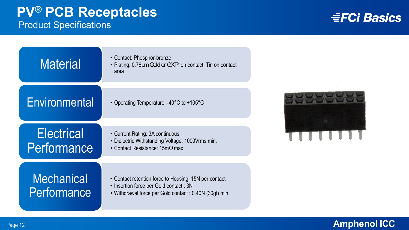| <b>Material</b>                  | • Contact: Phosphor-bronze<br>• Plating: 0.76 um Gold or GXT® on contact, Tin on contact<br>area                                                         |  |
|----------------------------------|----------------------------------------------------------------------------------------------------------------------------------------------------------|--|
| Environmental                    | • Operating Temperature: $-40^{\circ}$ C to $+105^{\circ}$ C                                                                                             |  |
| <b>Electrical</b><br>Performance | • Current Rating: 3A continuous<br>• Dielectric Withstanding Voltage: 1000Vrms min.<br>• Contact Resistance: $15 \text{m}\Omega$ max                     |  |
| Mechanical<br>Performance        | • Contact retention force to Housing: 15N per contact<br>• Insertion force per Gold contact: 3N<br>• Withdrawal force per Gold contact: 0.40N (30gf) min |  |

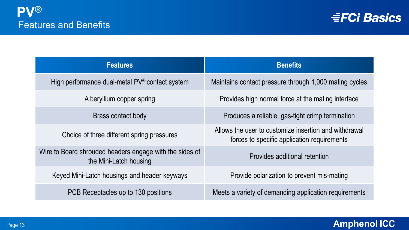

| <b>Features</b>                                                                   | <b>Benefits</b>                                                                                      |
|-----------------------------------------------------------------------------------|------------------------------------------------------------------------------------------------------|
| High performance dual-metal PV® contact system                                    | Maintains contact pressure through 1,000 mating cycles                                               |
| A beryllium copper spring                                                         | Provides high normal force at the mating interface                                                   |
| Brass contact body                                                                | Produces a reliable, gas-tight crimp termination                                                     |
| Choice of three different spring pressures                                        | Allows the user to customize insertion and withdrawal<br>forces to specific application requirements |
| Wire to Board shrouded headers engage with the sides of<br>the Mini-Latch housing | Provides additional retention                                                                        |
| Keyed Mini-Latch housings and header keyways                                      | Provide polarization to prevent mis-mating                                                           |
| PCB Receptacles up to 130 positions                                               | Meets a variety of demanding application requirements                                                |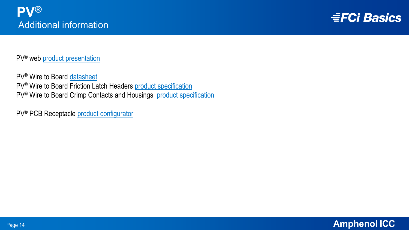

PV® web [product presentation](https://cdn.amphenol-icc.com/media/wysiwyg/files/documentation/customerpresentation/pv_productpresentation.pdf) 

PV® Wire to Board [datasheet](https://www.amphenol-icc.com/product-series/pv-crimp.html) PV® Wire to Board Friction Latch Headers [product specification](https://cdn.amphenol-icc.com/media/wysiwyg/files/documentation/bus-12-075.pdf) PV<sup>®</sup> Wire to Board Crimp Contacts and Housings [product specification](https://cdn.amphenol-icc.com/media/wysiwyg/files/documentation/bus-12-067.pdf)

PV® PCB Receptacle [product configurator](https://www.amphenol-icc.com/product-series/dubox-254mm.html)